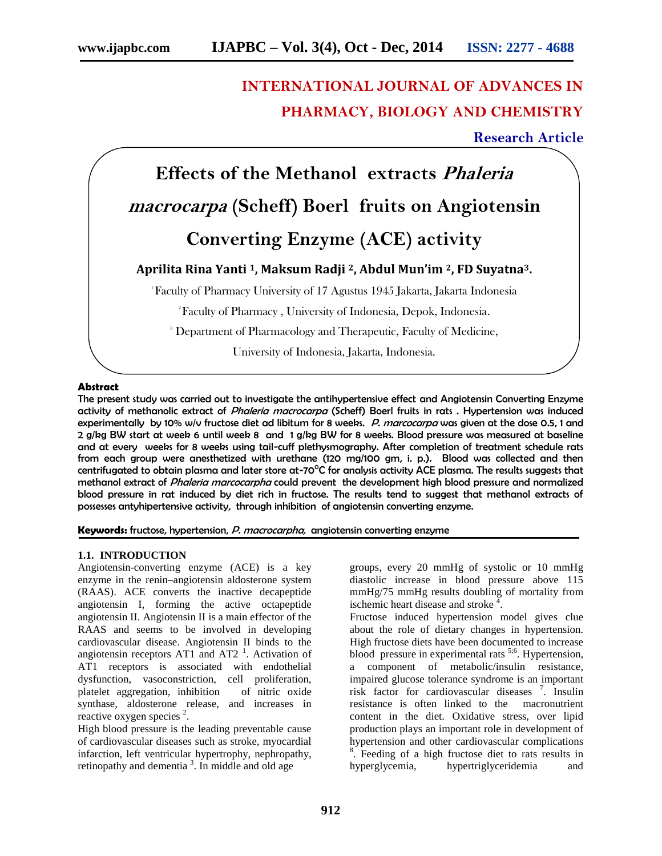# **INTERNATIONAL JOURNAL OF ADVANCES IN PHARMACY, BIOLOGY AND CHEMISTRY**

## **Research Article**



#### **Abstract**

The present study was carried out to investigate the antihypertensive effect and Angiotensin Converting Enzyme activity of methanolic extract of *Phaleria macrocarpa* (Scheff) Boerl fruits in rats . Hypertension was induced experimentally by 10% w/v fructose diet ad libitum for 8 weeks. *P. marcocarpa* was given at the dose 0.5, 1 and 2 g/kg BW start at week 6 until week 8 and 1 g/kg BW for 8 weeks. Blood pressure was measured at baseline and at every weeks for 8 weeks using tail-cuff plethysmography. After completion of treatment schedule rats from each group were anesthetized with urethane (120 mg/100 gm, i. p.). Blood was collected and then centrifugated to obtain plasma and later store  $at$ -70 $\rm{^{\circ}C}$  for analysis activity ACE plasma. The results suggests that methanol extract of *Phaleria marcocarpha* could prevent the development high blood pressure and normalized blood pressure in rat induced by diet rich in fructose. The results tend to suggest that methanol extracts of possesses antyhipertensive activity, through inhibition of angiotensin converting enzyme.

**Keywords:** fructose, hypertension, *P. macrocarpha,* angiotensin converting enzyme

#### **1.1. INTRODUCTION**

Angiotensin-converting enzyme (ACE) is a key enzyme in the renin–angiotensin aldosterone system (RAAS). ACE converts the inactive decapeptide angiotensin I, forming the active octapeptide angiotensin II. Angiotensin II is a main effector of the RAAS and seems to be involved in developing cardiovascular disease. Angiotensin II binds to the angiotensin receptors AT1 and AT2 $^{-1}$ . Activation of AT1 receptors is associated with endothelial dysfunction, vasoconstriction, cell proliferation, platelet aggregation, inhibition of nitric oxide synthase, aldosterone release, and increases in reactive oxygen species <sup>2</sup>.

High blood pressure is the leading preventable cause of cardiovascular diseases such as stroke, myocardial infarction, left ventricular hypertrophy, nephropathy, retinopathy and dementia<sup>3</sup>. In middle and old age

groups, every 20 mmHg of systolic or 10 mmHg diastolic increase in blood pressure above 115 mmHg/75 mmHg results doubling of mortality from ischemic heart disease and stroke  $4$ . .

Fructose induced hypertension model gives clue about the role of dietary changes in hypertension. High fructose diets have been documented to increase blood pressure in experimental rats <sup>5;6</sup>. Hypertension, a component of metabolic/insulin resistance, impaired glucose tolerance syndrome is an important risk factor for cardiovascular diseases<sup>7</sup>. Insulin resistance is often linked to the macronutrient content in the diet. Oxidative stress, over lipid production plays an important role in development of hypertension and other cardiovascular complications <sup>8</sup>. Feeding of a high fructose diet to rats results in hyperglycemia, hypertriglyceridemia and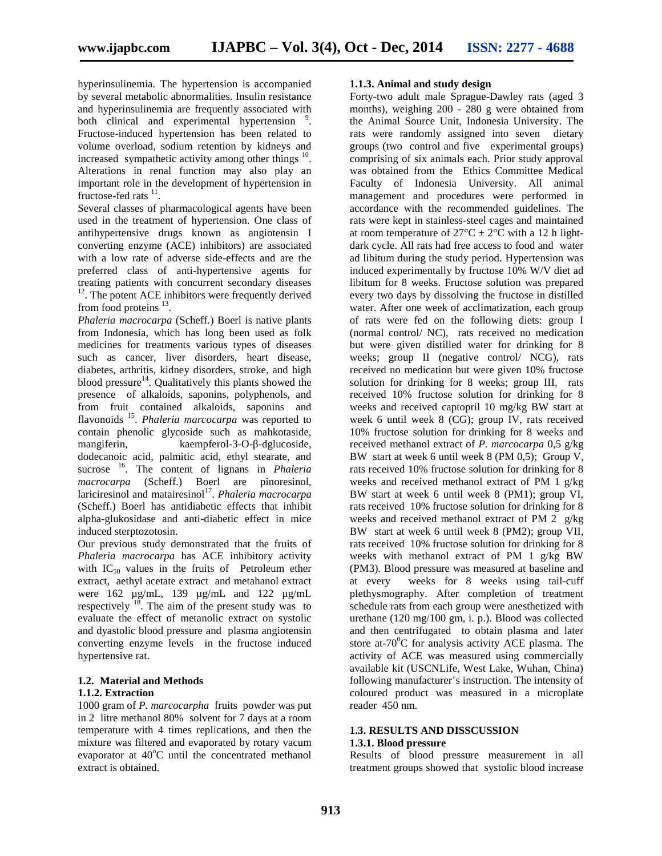hyperinsulinemia. The hypertension is accompanied by several metabolic abnormalities. Insulin resistance and hyperinsulinemia are frequently associated with both clinical and experimental hypertension <sup>9</sup>. Fructose-induced hypertension has been related to volume overload, sodium retention by kidneys and increased sympathetic activity among other things <sup>10</sup>. Alterations in renal function may also play an important role in the development of hypertension in fructose-fed rats  $^{11}$ .

Several classes of pharmacological agents have been used in the treatment of hypertension. One class of antihypertensive drugs known as angiotensin I converting enzyme (ACE) inhibitors) are associated with a low rate of adverse side-effects and are the preferred class of anti-hypertensive agents for treating patients with concurrent secondary diseases <sup>12</sup>. The potent ACE inhibitors were frequently derived from food proteins  $^{13}$ .

*Phaleria macrocarpa* (Scheff.) Boerl is native plants from Indonesia, which has long been used as folk medicines for treatments various types of diseases such as cancer, liver disorders, heart disease, diabetes, arthritis, kidney disorders, stroke, and high blood pressure<sup>14</sup>. Qualitatively this plants showed the presence of alkaloids, saponins, polyphenols, and from fruit contained alkaloids, saponins and flavonoids <sup>15</sup>. *Phaleria marcocarpa* was reported to contain phenolic glycoside such as mahkotaside, mangiferin, kaempferol-3-O- -dglucoside, dodecanoic acid, palmitic acid, ethyl stearate, and sucrose <sup>16</sup>. The content of lignans in *Phaleria macrocarpa* (Scheff.) Boerl are pinoresinol, lariciresinol and matairesinol<sup>17</sup>. *Phaleria macrocarpa* (Scheff.) Boerl has antidiabetic effects that inhibit alpha-glukosidase and anti-diabetic effect in mice induced sterptozotosin.

Our previous study demonstrated that the fruits of *Phaleria macrocarpa* has ACE inhibitory activity with  $IC_{50}$  values in the fruits of Petroleum ether extract, aethyl acetate extract and metahanol extract were 162 µg/mL, 139 µg/mL and 122 µg/mL respectively  $18$ . The aim of the present study was to evaluate the effect of metanolic extract on systolic and dyastolic blood pressure and plasma angiotensin converting enzyme levels in the fructose induced hypertensive rat.

## **1.2. Material and Methods**

#### **1.1.2. Extraction**

1000 gram of *P. marcocarpha* fruits powder was put in 2 litre methanol 80% solvent for 7 days at a room temperature with 4 times replications, and then the mixture was filtered and evaporated by rotary vacum evaporator at  $40^{\circ}$ C until the concentrated methanol extract is obtained.

#### **1.1.3. Animal and study design**

Forty-two adult male Sprague-Dawley rats (aged 3 months), weighing 200 - 280 g were obtained from the Animal Source Unit, Indonesia University. The rats were randomly assigned into seven dietary groups (two control and five experimental groups) comprising of six animals each. Prior study approval was obtained from the Ethics Committee Medical Faculty of Indonesia University. All animal management and procedures were performed in accordance with the recommended guidelines. The rats were kept in stainless-steel cages and maintained at room temperature of  $27^{\circ}C \pm 2^{\circ}C$  with a 12 h lightdark cycle. All rats had free access to food and water ad libitum during the study period. Hypertension was induced experimentally by fructose 10% W/V diet ad libitum for 8 weeks. Fructose solution was prepared every two days by dissolving the fructose in distilled water. After one week of acclimatization, each group of rats were fed on the following diets: group I (normal control/ NC), rats received no medication but were given distilled water for drinking for 8 weeks; group II (negative control/ NCG), rats received no medication but were given 10% fructose solution for drinking for 8 weeks; group III, rats received 10% fructose solution for drinking for 8 weeks and received captopril 10 mg/kg BW start at week 6 until week 8 (CG); group IV, rats received 10% fructose solution for drinking for 8 weeks and received methanol extract of *P. marcocarpa* 0,5 g/kg BW start at week 6 until week 8 (PM 0,5); Group V, rats received 10% fructose solution for drinking for 8 weeks and received methanol extract of PM 1 g/kg BW start at week 6 until week 8 (PM1); group VI, rats received 10% fructose solution for drinking for 8 weeks and received methanol extract of PM 2 g/kg BW start at week 6 until week 8 (PM2); group VII, rats received 10% fructose solution for drinking for 8 weeks with methanol extract of PM 1 g/kg BW (PM3). Blood pressure was measured at baseline and at every weeks for 8 weeks using tail-cuff plethysmography. After completion of treatment schedule rats from each group were anesthetized with urethane (120 mg/100 gm, i. p.). Blood was collected and then centrifugated to obtain plasma and later store at- $70^{\circ}$ C for analysis activity ACE plasma. The activity of ACE was measured using commercially available kit (USCNLife, West Lake, Wuhan, China) following manufacturer's instruction. The intensity of coloured product was measured in a microplate reader 450 nm.

#### **1.3. RESULTS AND DISSCUSSION 1.3.1. Blood pressure**

Results of blood pressure measurement in all treatment groups showed that systolic blood increase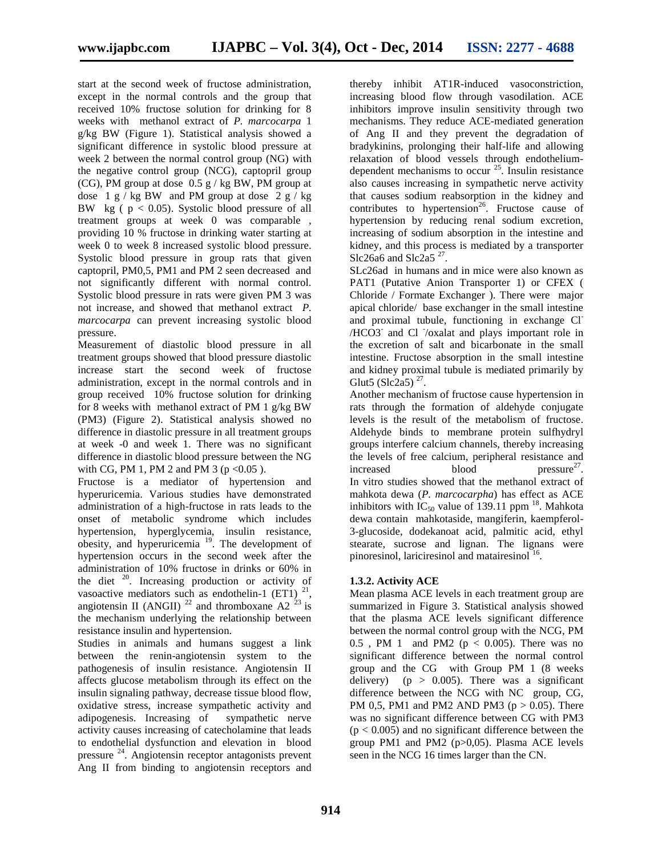start at the second week of fructose administration, except in the normal controls and the group that received 10% fructose solution for drinking for 8 weeks with methanol extract of *P. marcocarpa* 1 g/kg BW (Figure 1). Statistical analysis showed a significant difference in systolic blood pressure at week 2 between the normal control group (NG) with the negative control group (NCG), captopril group (CG), PM group at dose 0.5 g / kg BW, PM group at dose  $1 g / kg$  BW and PM group at dose  $2 g / kg$ BW kg ( $p < 0.05$ ). Systolic blood pressure of all treatment groups at week 0 was comparable , providing 10 % fructose in drinking water starting at week 0 to week 8 increased systolic blood pressure. Systolic blood pressure in group rats that given captopril, PM0,5, PM1 and PM 2 seen decreased and not significantly different with normal control. Systolic blood pressure in rats were given PM 3 was not increase, and showed that methanol extract *P. marcocarpa* can prevent increasing systolic blood pressure.

Measurement of diastolic blood pressure in all treatment groups showed that blood pressure diastolic increase start the second week of fructose administration, except in the normal controls and in group received 10% fructose solution for drinking for 8 weeks with methanol extract of PM 1 g/kg BW (PM3) (Figure 2). Statistical analysis showed no difference in diastolic pressure in all treatment groups at week -0 and week 1. There was no significant difference in diastolic blood pressure between the NG with CG, PM 1, PM 2 and PM 3 ( $p < 0.05$ ).

Fructose is a mediator of hypertension and hyperuricemia. Various studies have demonstrated administration of a high-fructose in rats leads to the onset of metabolic syndrome which includes hypertension, hyperglycemia, insulin resistance, obesity, and hyperuricemia<sup>19</sup>. The development of hypertension occurs in the second week after the administration of 10% fructose in drinks or 60% in the diet  $20$ . Increasing production or activity of vasoactive mediators such as endothelin-1  $(ET1)^{21}$ , angiotensin II (ANGII)  $^{22}$  and thromboxane A2  $^{23}$  is the mechanism underlying the relationship between resistance insulin and hypertension.

Studies in animals and humans suggest a link between the renin-angiotensin system to the pathogenesis of insulin resistance. Angiotensin II affects glucose metabolism through its effect on the insulin signaling pathway, decrease tissue blood flow, oxidative stress, increase sympathetic activity and adipogenesis. Increasing of sympathetic nerve activity causes increasing of catecholamine that leads to endothelial dysfunction and elevation in blood pressure <sup>24</sup>. Angiotensin receptor antagonists prevent Ang II from binding to angiotensin receptors and

thereby inhibit AT1R-induced vasoconstriction, increasing blood flow through vasodilation. ACE inhibitors improve insulin sensitivity through two mechanisms. They reduce ACE-mediated generation of Ang II and they prevent the degradation of bradykinins, prolonging their half-life and allowing relaxation of blood vessels through endothelium dependent mechanisms to occur<sup>25</sup>. Insulin resistance also causes increasing in sympathetic nerve activity that causes sodium reabsorption in the kidney and contributes to hypertension<sup>26</sup>. Fructose cause of hypertension by reducing renal sodium excretion, increasing of sodium absorption in the intestine and kidney, and this process is mediated by a transporter Slc26a6 and Slc2a5 $^{27}$ .

SLc26ad in humans and in mice were also known as PAT1 (Putative Anion Transporter 1) or CFEX ( Chloride / Formate Exchanger ). There were major apical chloride/ base exchanger in the small intestine and proximal tubule, functioning in exchange Cl- /HCO3- and Cl -/oxalat and plays important role in the excretion of salt and bicarbonate in the small intestine. Fructose absorption in the small intestine and kidney proximal tubule is mediated primarily by Glut5 ( $\text{Slc2a5}$ )<sup>27</sup>.

Another mechanism of fructose cause hypertension in rats through the formation of aldehyde conjugate levels is the result of the metabolism of fructose. Aldehyde binds to membrane protein sulfhydryl groups interfere calcium channels, thereby increasing the levels of free calcium, peripheral resistance and  $\mu$  increased blood pressure<sup>27</sup>. In vitro studies showed that the methanol extract of mahkota dewa (*P. marcocarpha*) has effect as ACE inhibitors with  $IC_{50}$  value of 139.11 ppm  $^{18}$ . Mahkota dewa contain mahkotaside, mangiferin, kaempferol- 3-glucoside, dodekanoat acid, palmitic acid, ethyl stearate, sucrose and lignan. The lignans were pinoresinol, lariciresinol and matairesinol <sup>16</sup>.

#### **1.3.2. Activity ACE**

Mean plasma ACE levels in each treatment group are summarized in Figure 3. Statistical analysis showed that the plasma ACE levels significant difference between the normal control group with the NCG, PM  $0.5$ , PM 1 and PM2 ( $p < 0.005$ ). There was no significant difference between the normal control group and the CG with Group PM 1 (8 weeks delivery) ( $p > 0.005$ ). There was a significant difference between the NCG with NC group, CG, PM 0,5, PM1 and PM2 AND PM3 ( $p > 0.05$ ). There was no significant difference between CG with PM3  $(p < 0.005)$  and no significant difference between the group PM1 and PM2 (p>0,05). Plasma ACE levels seen in the NCG 16 times larger than the CN. **R**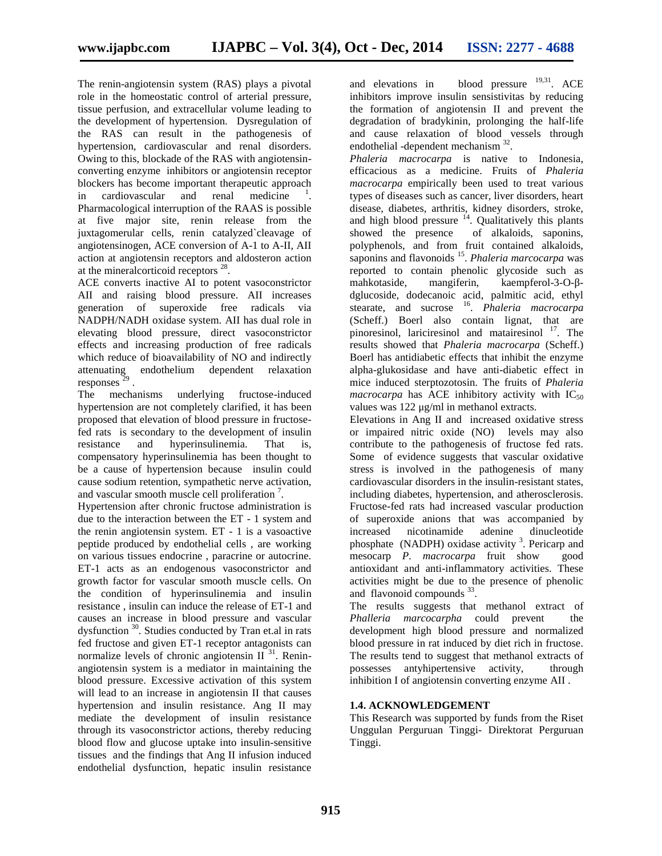The renin-angiotensin system (RAS) plays a pivotal role in the homeostatic control of arterial pressure, tissue perfusion, and extracellular volume leading to the development of hypertension. Dysregulation of the RAS can result in the pathogenesis of hypertension, cardiovascular and renal disorders. Owing to this, blockade of the RAS with angiotensin converting enzyme inhibitors or angiotensin receptor blockers has become important therapeutic approach<br>in cardiovascular and renal medicine  $\frac{1}{1}$ . in cardiovascular and renal medicine . Pharmacological interruption of the RAAS is possible at five major site, renin release from the juxtagomerular cells, renin catalyzed`cleavage of angiotensinogen, ACE conversion of A-1 to A-II, AII action at angiotensin receptors and aldosteron action at the mineral corticoid receptors  $28$ .

ACE converts inactive AI to potent vasoconstrictor AII and raising blood pressure. AII increases generation of superoxide free radicals via NADPH/NADH oxidase system. AII has dual role in elevating blood pressure, direct vasoconstrictor effects and increasing production of free radicals which reduce of bioavailability of NO and indirectly attenuating endothelium dependent relaxation responses  $29$ .

The mechanisms underlying fructose-induced hypertension are not completely clarified, it has been proposed that elevation of blood pressure in fructosefed rats is secondary to the development of insulin resistance and hyperinsulinemia. That is, compensatory hyperinsulinemia has been thought to be a cause of hypertension because insulin could cause sodium retention, sympathetic nerve activation, and vascular smooth muscle cell proliferation<sup>7</sup>.

Hypertension after chronic fructose administration is due to the interaction between the ET - 1 system and the renin angiotensin system. ET - 1 is a vasoactive peptide produced by endothelial cells , are working on various tissues endocrine , paracrine or autocrine. ET-1 acts as an endogenous vasoconstrictor and growth factor for vascular smooth muscle cells. On the condition of hyperinsulinemia and insulin resistance , insulin can induce the release of ET-1 and causes an increase in blood pressure and vascular dysfunction <sup>30</sup>. Studies conducted by Tran et.al in rats fed fructose and given ET-1 receptor antagonists can normalize levels of chronic angiotensin  $II$ <sup>31</sup>. Reninangiotensin system is a mediator in maintaining the blood pressure. Excessive activation of this system will lead to an increase in angiotensin II that causes hypertension and insulin resistance. Ang II may mediate the development of insulin resistance through its vasoconstrictor actions, thereby reducing blood flow and glucose uptake into insulin-sensitive tissues and the findings that Ang II infusion induced endothelial dysfunction, hepatic insulin resistance

and elevations in blood pressure  $^{19,31}$ . ACE inhibitors improve insulin sensistivitas by reducing the formation of angiotensin II and prevent the degradation of bradykinin, prolonging the half-life and cause relaxation of blood vessels through endothelial -dependent mechanism<sup>32</sup>.

*Phaleria macrocarpa* is native to Indonesia, efficacious as a medicine. Fruits of *Phaleria macrocarpa* empirically been used to treat various types of diseases such as cancer, liver disorders, heart disease, diabetes, arthritis, kidney disorders, stroke, and high blood pressure  $14$ . Qualitatively this plants showed the presence of alkaloids, saponins, polyphenols, and from fruit contained alkaloids. saponins and flavonoids <sup>15</sup> . *Phaleria marcocarpa* was reported to contain phenolic glycoside such as mahkotaside, mangiferin, kaempferol-3-O- dglucoside, dodecanoic acid, palmitic acid, ethyl stearate, and sucrose <sup>16</sup> . *Phaleria macrocarpa* (Scheff.) Boerl also contain lignat, that are pinoresinol, lariciresinol and matairesinol  $17$ . The results showed that *Phaleria macrocarpa* (Scheff.) Boerl has antidiabetic effects that inhibit the enzyme alpha-glukosidase and have anti-diabetic effect in mice induced sterptozotosin. The fruits of *Phaleria macrocarpa* has ACE inhibitory activity with  $IC_{50}$ values was 122 μg/ml in methanol extracts.

Elevations in Ang II and increased oxidative stress or impaired nitric oxide (NO) levels may also contribute to the pathogenesis of fructose fed rats. Some of evidence suggests that vascular oxidative stress is involved in the pathogenesis of many cardiovascular disorders in the insulin-resistant states, including diabetes, hypertension, and atherosclerosis. Fructose-fed rats had increased vascular production of superoxide anions that was accompanied by increased nicotinamide adenine dinucleotide phosphate (NADPH) oxidase activity<sup>3</sup>. Pericarp and mesocarp *P. macrocarpa* fruit show good antioxidant and anti-inflammatory activities. These activities might be due to the presence of phenolic and flavonoid compounds <sup>33</sup>.

The results suggests that methanol extract of *Phalleria marcocarpha* could prevent the development high blood pressure and normalized blood pressure in rat induced by diet rich in fructose. The results tend to suggest that methanol extracts of possesses antyhipertensive activity, through inhibition I of angiotensin converting enzyme AII .

### **1.4. ACKNOWLEDGEMENT**

This Research was supported by funds from the Riset Unggulan Perguruan Tinggi- Direktorat Perguruan Tinggi.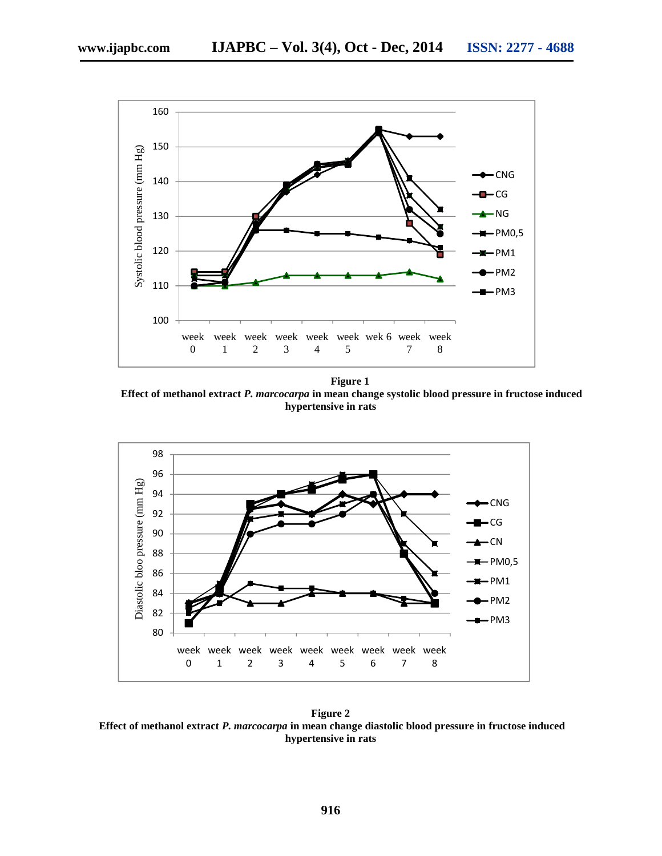

**Figure 1 Effect of methanol extract** *P. marcocarpa* **in mean change systolic blood pressure in fructose induced hypertensive in rats**



**Figure 2 Effect of methanol extract** *P. marcocarpa* **in mean change diastolic blood pressure in fructose induced hypertensive in rats**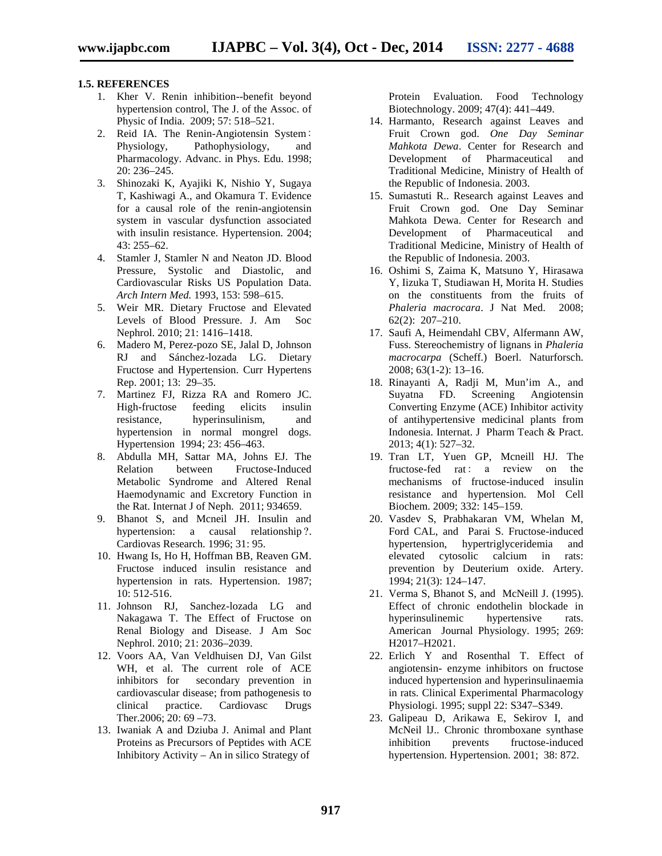#### **1.5. REFERENCES**

- 1. Kher V. Renin inhibition--benefit beyond hypertension control, The J. of the Assoc. of Physic of India. 2009; 57: 518–521.
- 2. Reid IA. The Renin-Angiotensin System : Physiology, Pathophysiology, and Pharmacology. Advanc. in Phys. Edu. 1998; 20: 236–245.
- 3. Shinozaki K, Ayajiki K, Nishio Y, Sugaya T, Kashiwagi A., and Okamura T. Evidence for a causal role of the renin-angiotensin system in vascular dysfunction associated with insulin resistance. Hypertension. 2004; 43: 255–62.
- 4. Stamler J, Stamler N and Neaton JD. Blood Pressure, Systolic and Diastolic, and Cardiovascular Risks US Population Data. *Arch Intern Med.* 1993, 153: 598–615.
- 5. Weir MR. Dietary Fructose and Elevated Levels of Blood Pressure. J. Am Soc Nephrol. 2010; 21: 1416–1418.
- 6. Madero M, Perez-pozo SE, Jalal D, Johnson RJ and Sánchez-lozada LG. Dietary Fructose and Hypertension. Curr Hypertens Rep. 2001; 13: 29–35.
- 7. Martinez FJ, Rizza RA and Romero JC. High-fructose feeding elicits insulin resistance, hyperinsulinism, and hypertension in normal mongrel dogs. Hypertension 1994; 23: 456–463.
- 8. Abdulla MH, Sattar MA, Johns EJ. The Relation between Fructose-Induced Metabolic Syndrome and Altered Renal Haemodynamic and Excretory Function in the Rat. Internat J of Neph. 2011; 934659.
- 9. Bhanot S, and Mcneil JH. Insulin and hypertension: a causal relationship ?. Cardiovas Research. 1996; 31: 95.
- 10. Hwang Is, Ho H, Hoffman BB, Reaven GM. Fructose induced insulin resistance and hypertension in rats. Hypertension. 1987; 10: 512-516.
- 11. Johnson RJ, Sanchez-lozada LG and Nakagawa T. The Effect of Fructose on Renal Biology and Disease. J Am Soc Nephrol. 2010; 21: 2036–2039.
- 12. Voors AA, Van Veldhuisen DJ, Van Gilst WH, et al. The current role of ACE inhibitors for secondary prevention in cardiovascular disease; from pathogenesis to clinical practice. Cardiovasc Drugs Ther.2006; 20: 69 –73.
- 13. Iwaniak A and Dziuba J. Animal and Plant Proteins as Precursors of Peptides with ACE Inhibitory Activity – An in silico Strategy of

Protein Evaluation. Food Technology Biotechnology. 2009; 47(4): 441–449.

- 14. Harmanto, Research against Leaves and Fruit Crown god. *One Day Seminar Mahkota Dewa*. Center for Research and Development of Pharmaceutical and Traditional Medicine, Ministry of Health of the Republic of Indonesia. 2003.
- 15. Sumastuti R.. Research against Leaves and Fruit Crown god. One Day Seminar Mahkota Dewa. Center for Research and Development of Pharmaceutical and Traditional Medicine, Ministry of Health of the Republic of Indonesia. 2003.
- 16. Oshimi S, Zaima K, Matsuno Y, Hirasawa Y, Iizuka T, Studiawan H, Morita H. Studies on the constituents from the fruits of *Phaleria macrocara*. J Nat Med. 2008; 62(2): 207–210.
- 17. Saufi A, Heimendahl CBV, Alfermann AW, Fuss. Stereochemistry of lignans in *Phaleria macrocarpa* (Scheff.) Boerl. Naturforsch. 2008;  $63(1-2)$ : 13-16.
- 18. Rinayanti A, Radji M, Mun'im A., and<br>Suvatna FD. Screening Angiotensin Suyatna FD. Screening Angiotensin Converting Enzyme (ACE) Inhibitor activity of antihypertensive medicinal plants from Indonesia. Internat. J Pharm Teach & Pract. 2013; 4(1): 527–32.
- 19. Tran LT, Yuen GP, Mcneill HJ. The fructose-fed rat : a review on the mechanisms of fructose-induced insulin resistance and hypertension. Mol Cell Biochem. 2009; 332: 145–159.
- 20. Vasdev S, Prabhakaran VM, Whelan M, Ford CAL, and Parai S. Fructose-induced hypertension, hypertriglyceridemia and elevated cytosolic calcium in rats: prevention by Deuterium oxide. Artery. 1994; 21(3): 124–147.
- 21. Verma S, Bhanot S, and McNeill J. (1995). Effect of chronic endothelin blockade in hyperinsulinemic hypertensive rats. American Journal Physiology. 1995; 269: H2017–H2021.
- 22. Erlich Y and Rosenthal T. Effect of angiotensin- enzyme inhibitors on fructose induced hypertension and hyperinsulinaemia in rats. Clinical Experimental Pharmacology Physiologi. 1995; suppl 22: S347–S349.
- 23. Galipeau D, Arikawa E, Sekirov I, and McNeil lJ.. Chronic thromboxane synthase inhibition prevents fructose-induced hypertension. Hypertension. 2001; 38: 872.